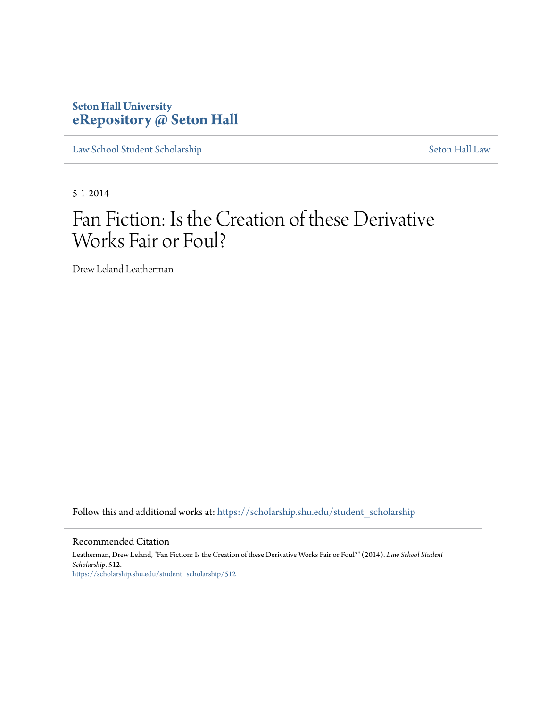### **Seton Hall University [eRepository @ Seton Hall](https://scholarship.shu.edu?utm_source=scholarship.shu.edu%2Fstudent_scholarship%2F512&utm_medium=PDF&utm_campaign=PDFCoverPages)**

[Law School Student Scholarship](https://scholarship.shu.edu/student_scholarship?utm_source=scholarship.shu.edu%2Fstudent_scholarship%2F512&utm_medium=PDF&utm_campaign=PDFCoverPages) [Seton Hall Law](https://scholarship.shu.edu/law?utm_source=scholarship.shu.edu%2Fstudent_scholarship%2F512&utm_medium=PDF&utm_campaign=PDFCoverPages)

5-1-2014

# Fan Fiction: Is the Creation of these Derivative Works Fair or Foul?

Drew Leland Leatherman

Follow this and additional works at: [https://scholarship.shu.edu/student\\_scholarship](https://scholarship.shu.edu/student_scholarship?utm_source=scholarship.shu.edu%2Fstudent_scholarship%2F512&utm_medium=PDF&utm_campaign=PDFCoverPages)

#### Recommended Citation

Leatherman, Drew Leland, "Fan Fiction: Is the Creation of these Derivative Works Fair or Foul?" (2014). *Law School Student Scholarship*. 512. [https://scholarship.shu.edu/student\\_scholarship/512](https://scholarship.shu.edu/student_scholarship/512?utm_source=scholarship.shu.edu%2Fstudent_scholarship%2F512&utm_medium=PDF&utm_campaign=PDFCoverPages)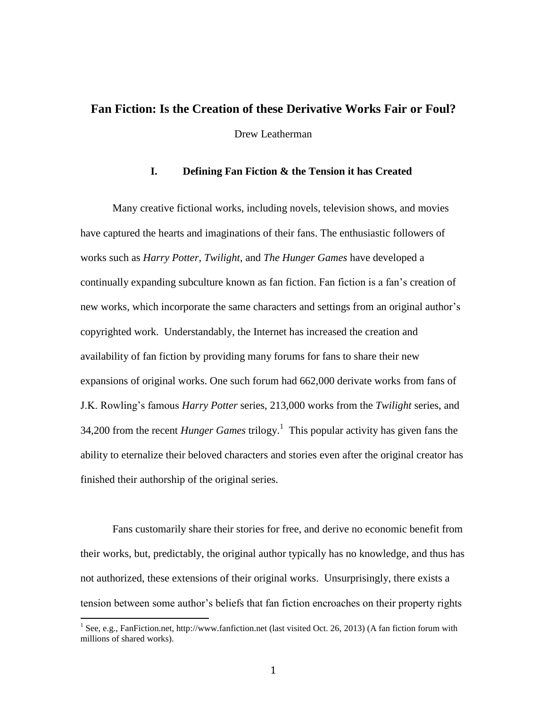### **Fan Fiction: Is the Creation of these Derivative Works Fair or Foul?**

Drew Leatherman

#### **I. Defining Fan Fiction & the Tension it has Created**

Many creative fictional works, including novels, television shows, and movies have captured the hearts and imaginations of their fans. The enthusiastic followers of works such as *Harry Potter*, *Twilight*, and *The Hunger Games* have developed a continually expanding subculture known as fan fiction. Fan fiction is a fan's creation of new works, which incorporate the same characters and settings from an original author's copyrighted work. Understandably, the Internet has increased the creation and availability of fan fiction by providing many forums for fans to share their new expansions of original works. One such forum had 662,000 derivate works from fans of J.K. Rowling's famous *Harry Potter* series, 213,000 works from the *Twilight* series, and 34,200 from the recent *Hunger Games* trilogy.<sup>1</sup> This popular activity has given fans the ability to eternalize their beloved characters and stories even after the original creator has finished their authorship of the original series.

Fans customarily share their stories for free, and derive no economic benefit from their works, but, predictably, the original author typically has no knowledge, and thus has not authorized, these extensions of their original works. Unsurprisingly, there exists a tension between some author's beliefs that fan fiction encroaches on their property rights

<sup>&</sup>lt;sup>1</sup> See, e.g., FanFiction.net, http://www.fanfiction.net (last visited Oct. 26, 2013) (A fan fiction forum with millions of shared works).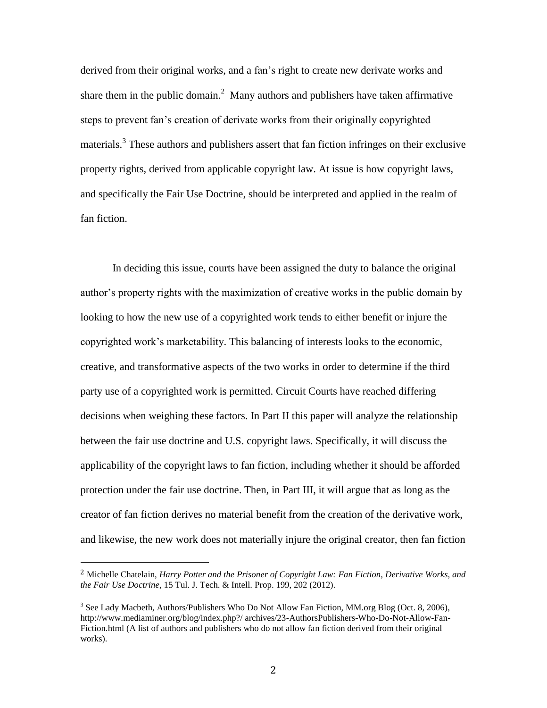derived from their original works, and a fan's right to create new derivate works and share them in the public domain.<sup>2</sup> Many authors and publishers have taken affirmative steps to prevent fan's creation of derivate works from their originally copyrighted materials.<sup>3</sup> These authors and publishers assert that fan fiction infringes on their exclusive property rights, derived from applicable copyright law. At issue is how copyright laws, and specifically the Fair Use Doctrine, should be interpreted and applied in the realm of fan fiction.

In deciding this issue, courts have been assigned the duty to balance the original author's property rights with the maximization of creative works in the public domain by looking to how the new use of a copyrighted work tends to either benefit or injure the copyrighted work's marketability. This balancing of interests looks to the economic, creative, and transformative aspects of the two works in order to determine if the third party use of a copyrighted work is permitted. Circuit Courts have reached differing decisions when weighing these factors. In Part II this paper will analyze the relationship between the fair use doctrine and U.S. copyright laws. Specifically, it will discuss the applicability of the copyright laws to fan fiction, including whether it should be afforded protection under the fair use doctrine. Then, in Part III, it will argue that as long as the creator of fan fiction derives no material benefit from the creation of the derivative work, and likewise, the new work does not materially injure the original creator, then fan fiction

<sup>2</sup> Michelle Chatelain, *Harry Potter and the Prisoner of Copyright Law: Fan Fiction, Derivative Works, and the Fair Use Doctrine*, 15 Tul. J. Tech. & Intell. Prop. 199, 202 (2012).

 $3$  See Lady Macbeth, Authors/Publishers Who Do Not Allow Fan Fiction, MM.org Blog (Oct. 8, 2006), http://www.mediaminer.org/blog/index.php?/ archives/23-AuthorsPublishers-Who-Do-Not-Allow-Fan-Fiction.html (A list of authors and publishers who do not allow fan fiction derived from their original works).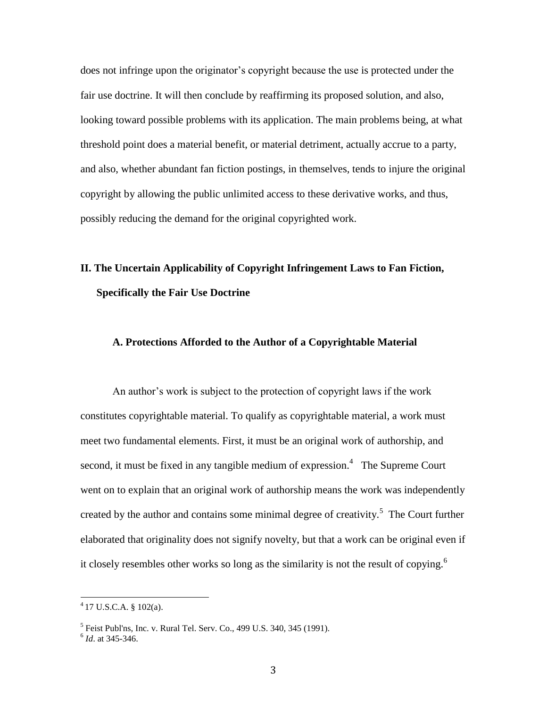does not infringe upon the originator's copyright because the use is protected under the fair use doctrine. It will then conclude by reaffirming its proposed solution, and also, looking toward possible problems with its application. The main problems being, at what threshold point does a material benefit, or material detriment, actually accrue to a party, and also, whether abundant fan fiction postings, in themselves, tends to injure the original copyright by allowing the public unlimited access to these derivative works, and thus, possibly reducing the demand for the original copyrighted work.

### **II. The Uncertain Applicability of Copyright Infringement Laws to Fan Fiction, Specifically the Fair Use Doctrine**

#### **A. Protections Afforded to the Author of a Copyrightable Material**

An author's work is subject to the protection of copyright laws if the work constitutes copyrightable material. To qualify as copyrightable material, a work must meet two fundamental elements. First, it must be an original work of authorship, and second, it must be fixed in any tangible medium of expression.<sup>4</sup> The Supreme Court went on to explain that an original work of authorship means the work was independently created by the author and contains some minimal degree of creativity.<sup>5</sup> The Court further elaborated that originality does not signify novelty, but that a work can be original even if it closely resembles other works so long as the similarity is not the result of copying.<sup>6</sup>

 4 17 U.S.C.A. § 102(a).

 $<sup>5</sup>$  Feist Publ'ns, Inc. v. Rural Tel. Serv. Co., 499 U.S. 340, 345 (1991).</sup>

<sup>6</sup> *Id*. at 345-346.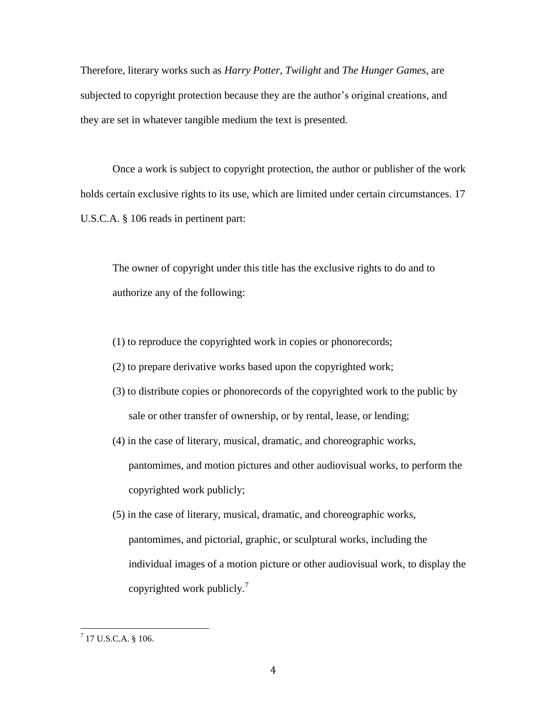Therefore, literary works such as *Harry Potter*, *Twilight* and *The Hunger Games*, are subjected to copyright protection because they are the author's original creations, and they are set in whatever tangible medium the text is presented.

Once a work is subject to copyright protection, the author or publisher of the work holds certain exclusive rights to its use, which are limited under certain circumstances. 17 U.S.C.A. § 106 reads in pertinent part:

The owner of copyright under this title has the exclusive rights to do and to authorize any of the following:

- (1) to reproduce the copyrighted work in copies or phonorecords;
- (2) to prepare derivative works based upon the copyrighted work;
- (3) to distribute copies or phonorecords of the copyrighted work to the public by sale or other transfer of ownership, or by rental, lease, or lending;
- (4) in the case of literary, musical, dramatic, and choreographic works, pantomimes, and motion pictures and other audiovisual works, to perform the copyrighted work publicly;
- (5) in the case of literary, musical, dramatic, and choreographic works, pantomimes, and pictorial, graphic, or sculptural works, including the individual images of a motion picture or other audiovisual work, to display the copyrighted work publicly.<sup>7</sup>

 $^{7}$  17 U.S.C.A. § 106.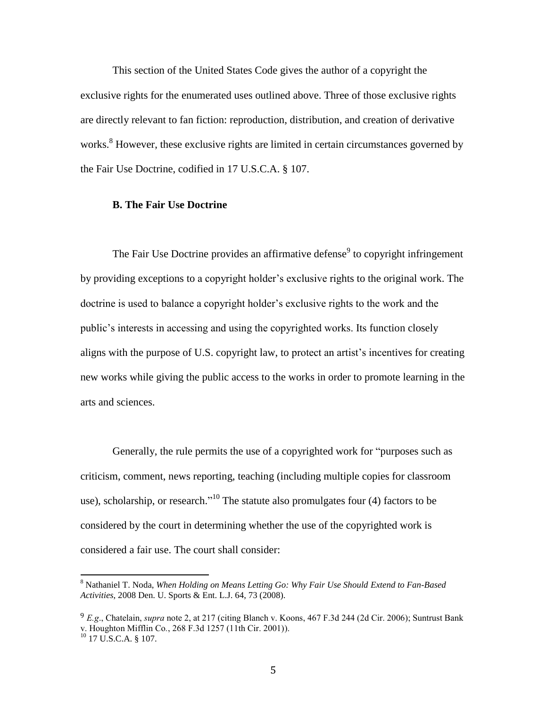This section of the United States Code gives the author of a copyright the exclusive rights for the enumerated uses outlined above. Three of those exclusive rights are directly relevant to fan fiction: reproduction, distribution, and creation of derivative works.<sup>8</sup> However, these exclusive rights are limited in certain circumstances governed by the Fair Use Doctrine, codified in 17 U.S.C.A. § 107.

#### **B. The Fair Use Doctrine**

The Fair Use Doctrine provides an affirmative defense<sup>9</sup> to copyright infringement by providing exceptions to a copyright holder's exclusive rights to the original work. The doctrine is used to balance a copyright holder's exclusive rights to the work and the public's interests in accessing and using the copyrighted works. Its function closely aligns with the purpose of U.S. copyright law, to protect an artist's incentives for creating new works while giving the public access to the works in order to promote learning in the arts and sciences.

Generally, the rule permits the use of a copyrighted work for "purposes such as criticism, comment, news reporting, teaching (including multiple copies for classroom use), scholarship, or research."<sup>10</sup> The statute also promulgates four  $(4)$  factors to be considered by the court in determining whether the use of the copyrighted work is considered a fair use. The court shall consider:

<sup>8</sup> Nathaniel T. Noda, *When Holding on Means Letting Go: Why Fair Use Should Extend to Fan-Based Activities*, 2008 Den. U. Sports & Ent. L.J. 64, 73 (2008).

<sup>9</sup> *E.g*., Chatelain, *supra* note 2, at 217 (citing Blanch v. Koons, 467 F.3d 244 (2d Cir. 2006); Suntrust Bank v. Houghton Mifflin Co*.*, 268 F.3d 1257 (11th Cir. 2001)).

 $10$  17 U.S.C.A. § 107.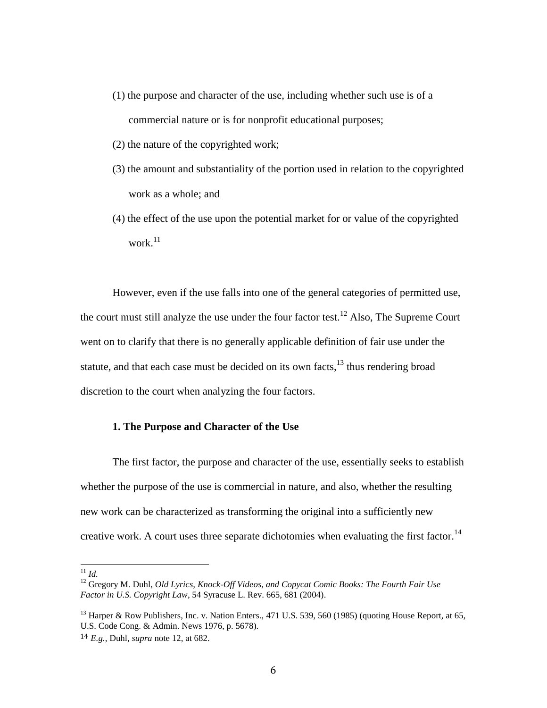- (1) the purpose and character of the use, including whether such use is of a commercial nature or is for nonprofit educational purposes;
- (2) the nature of the copyrighted work;
- (3) the amount and substantiality of the portion used in relation to the copyrighted work as a whole; and
- (4) the effect of the use upon the potential market for or value of the copyrighted work. $^{11}$

However, even if the use falls into one of the general categories of permitted use, the court must still analyze the use under the four factor test.<sup>12</sup> Also, The Supreme Court went on to clarify that there is no generally applicable definition of fair use under the statute, and that each case must be decided on its own facts, $^{13}$  thus rendering broad discretion to the court when analyzing the four factors.

#### **1. The Purpose and Character of the Use**

The first factor, the purpose and character of the use, essentially seeks to establish whether the purpose of the use is commercial in nature, and also, whether the resulting new work can be characterized as transforming the original into a sufficiently new creative work. A court uses three separate dichotomies when evaluating the first factor.<sup>14</sup>

<sup>11</sup> *Id.*

<sup>12</sup> Gregory M. Duhl, *Old Lyrics, Knock-Off Videos, and Copycat Comic Books: The Fourth Fair Use Factor in U.S. Copyright Law*, 54 Syracuse L. Rev. 665, 681 (2004).

<sup>&</sup>lt;sup>13</sup> Harper & Row Publishers, Inc. v. Nation Enters., 471 U.S. 539, 560 (1985) (quoting House Report, at 65, U.S. Code Cong. & Admin. News 1976, p. 5678).

<sup>14</sup> *E.g.*, Duhl, *supra* note 12, at 682.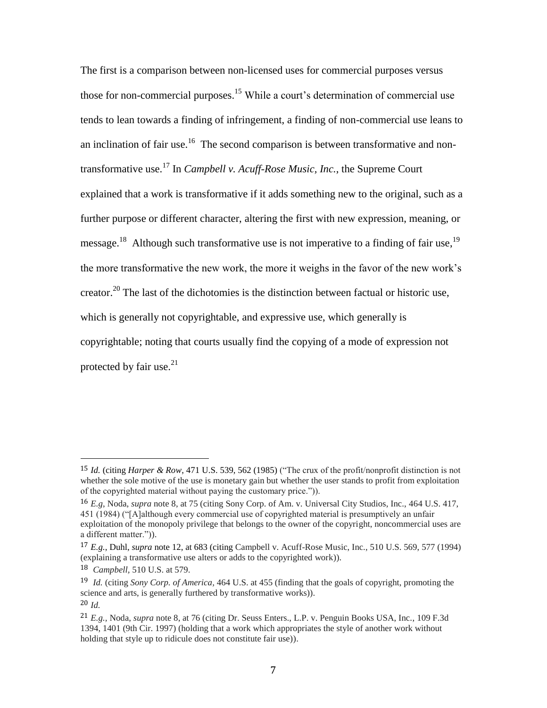The first is a comparison between non-licensed uses for commercial purposes versus those for non-commercial purposes. <sup>15</sup> While a court's determination of commercial use tends to lean towards a finding of infringement, a finding of non-commercial use leans to an inclination of fair use.<sup>16</sup> The second comparison is between transformative and nontransformative use.<sup>17</sup> In *Campbell v. Acuff-Rose Music, Inc.*, the Supreme Court explained that a work is transformative if it adds something new to the original, such as a further purpose or different character, altering the first with new expression, meaning, or message.<sup>18</sup> Although such transformative use is not imperative to a finding of fair use,<sup>19</sup> the more transformative the new work, the more it weighs in the favor of the new work's creator.<sup>20</sup> The last of the dichotomies is the distinction between factual or historic use, which is generally not copyrightable, and expressive use, which generally is copyrightable; noting that courts usually find the copying of a mode of expression not protected by fair use.<sup>21</sup>

<sup>15</sup> *Id.* (citing *Harper & Row*, 471 U.S. 539, 562 (1985) ("The crux of the profit/nonprofit distinction is not whether the sole motive of the use is monetary gain but whether the user stands to profit from exploitation of the copyrighted material without paying the customary price.")).

<sup>16</sup> *E.g*, Noda, *supra* note 8, at 75 (citing Sony Corp. of Am. v. Universal City Studios, Inc., 464 U.S. 417, 451 (1984) ("[A]although every commercial use of copyrighted material is presumptively an unfair exploitation of the monopoly privilege that belongs to the owner of the copyright, noncommercial uses are a different matter.")).

<sup>17</sup> *E.g.*, Duhl, *supra* note 12, at 683 (citing Campbell v. Acuff-Rose Music, Inc., 510 U.S. 569, 577 (1994) (explaining a transformative use alters or adds to the copyrighted work)).

<sup>18</sup> *Campbell,* 510 U.S. at 579.

<sup>19</sup> *Id.* (citing *Sony Corp. of America,* 464 U.S. at 455 (finding that the goals of copyright, promoting the science and arts, is generally furthered by transformative works)). 20 *Id.*

<sup>21</sup> *E.g.,* Noda, *supra* note 8, at 76 (citing Dr. Seuss Enters., L.P. v. Penguin Books USA, Inc., 109 F.3d 1394, 1401 (9th Cir. 1997) (holding that a work which appropriates the style of another work without holding that style up to ridicule does not constitute fair use)).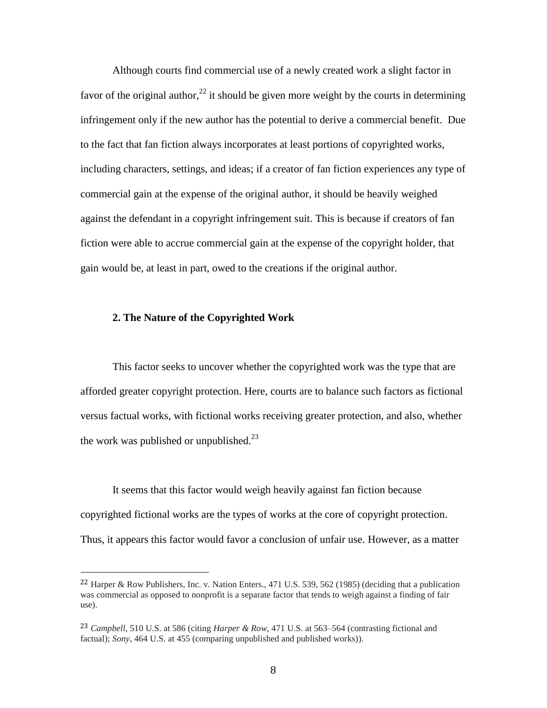Although courts find commercial use of a newly created work a slight factor in favor of the original author,<sup>22</sup> it should be given more weight by the courts in determining infringement only if the new author has the potential to derive a commercial benefit. Due to the fact that fan fiction always incorporates at least portions of copyrighted works, including characters, settings, and ideas; if a creator of fan fiction experiences any type of commercial gain at the expense of the original author, it should be heavily weighed against the defendant in a copyright infringement suit. This is because if creators of fan fiction were able to accrue commercial gain at the expense of the copyright holder, that gain would be, at least in part, owed to the creations if the original author.

#### **2. The Nature of the Copyrighted Work**

 $\overline{a}$ 

This factor seeks to uncover whether the copyrighted work was the type that are afforded greater copyright protection. Here, courts are to balance such factors as fictional versus factual works, with fictional works receiving greater protection, and also, whether the work was published or unpublished.<sup>23</sup>

It seems that this factor would weigh heavily against fan fiction because copyrighted fictional works are the types of works at the core of copyright protection. Thus, it appears this factor would favor a conclusion of unfair use. However, as a matter

<sup>&</sup>lt;sup>22</sup> Harper & Row Publishers, Inc. v. Nation Enters., 471 U.S. 539, 562 (1985) (deciding that a publication was commercial as opposed to nonprofit is a separate factor that tends to weigh against a finding of fair use).

<sup>23</sup> *Campbell*, 510 U.S. at 586 (citing *Harper & Row*, 471 U.S. at 563–564 (contrasting fictional and factual); *Sony*, 464 U.S. at 455 (comparing unpublished and published works)).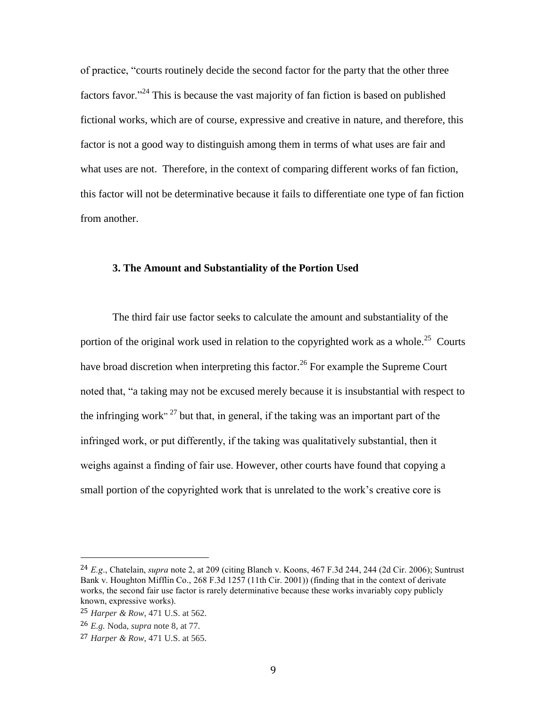of practice, "courts routinely decide the second factor for the party that the other three factors favor.<sup> $24$ </sup> This is because the vast majority of fan fiction is based on published fictional works, which are of course, expressive and creative in nature, and therefore, this factor is not a good way to distinguish among them in terms of what uses are fair and what uses are not. Therefore, in the context of comparing different works of fan fiction, this factor will not be determinative because it fails to differentiate one type of fan fiction from another.

#### **3. The Amount and Substantiality of the Portion Used**

The third fair use factor seeks to calculate the amount and substantiality of the portion of the original work used in relation to the copyrighted work as a whole.<sup>25</sup> Courts have broad discretion when interpreting this factor.<sup>26</sup> For example the Supreme Court noted that, "a taking may not be excused merely because it is insubstantial with respect to the infringing work"<sup>27</sup> but that, in general, if the taking was an important part of the infringed work, or put differently, if the taking was qualitatively substantial, then it weighs against a finding of fair use. However, other courts have found that copying a small portion of the copyrighted work that is unrelated to the work's creative core is

<sup>24</sup> *E.g*., Chatelain, *supra* note 2, at 209 (citing Blanch v. Koons, 467 F.3d 244, 244 (2d Cir. 2006); Suntrust Bank v. Houghton Mifflin Co., 268 F.3d 1257 (11th Cir. 2001)) (finding that in the context of derivate works, the second fair use factor is rarely determinative because these works invariably copy publicly known, expressive works).

<sup>25</sup> *Harper & Row*, 471 U.S. at 562.

<sup>26</sup> *E.g.* Noda, *supra* note 8, at 77.

<sup>27</sup> *Harper & Row*, 471 U.S. at 565.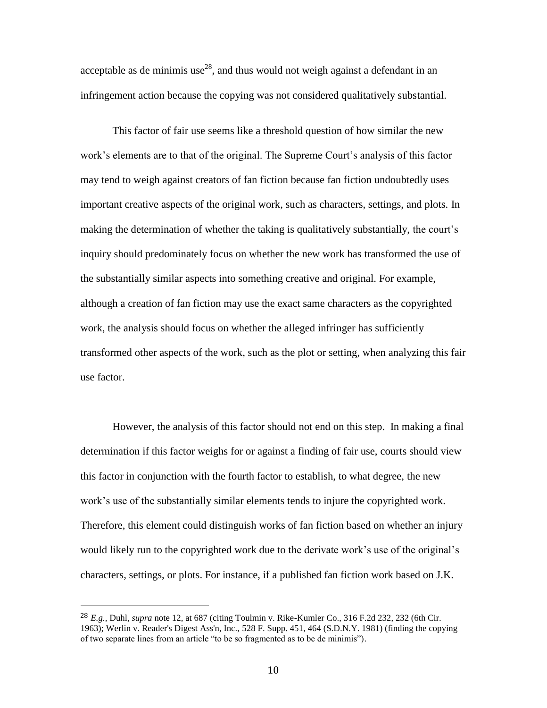acceptable as de minimis use<sup>28</sup>, and thus would not weigh against a defendant in an infringement action because the copying was not considered qualitatively substantial.

This factor of fair use seems like a threshold question of how similar the new work's elements are to that of the original. The Supreme Court's analysis of this factor may tend to weigh against creators of fan fiction because fan fiction undoubtedly uses important creative aspects of the original work, such as characters, settings, and plots. In making the determination of whether the taking is qualitatively substantially, the court's inquiry should predominately focus on whether the new work has transformed the use of the substantially similar aspects into something creative and original. For example, although a creation of fan fiction may use the exact same characters as the copyrighted work, the analysis should focus on whether the alleged infringer has sufficiently transformed other aspects of the work, such as the plot or setting, when analyzing this fair use factor.

However, the analysis of this factor should not end on this step. In making a final determination if this factor weighs for or against a finding of fair use, courts should view this factor in conjunction with the fourth factor to establish, to what degree, the new work's use of the substantially similar elements tends to injure the copyrighted work. Therefore, this element could distinguish works of fan fiction based on whether an injury would likely run to the copyrighted work due to the derivate work's use of the original's characters, settings, or plots. For instance, if a published fan fiction work based on J.K.

<sup>28</sup> *E.g.*, Duhl, *supra* note 12, at 687 (citing Toulmin v. Rike-Kumler Co., 316 F.2d 232, 232 (6th Cir. 1963); Werlin v. Reader's Digest Ass'n, Inc., 528 F. Supp. 451, 464 (S.D.N.Y. 1981) (finding the copying of two separate lines from an article "to be so fragmented as to be de minimis").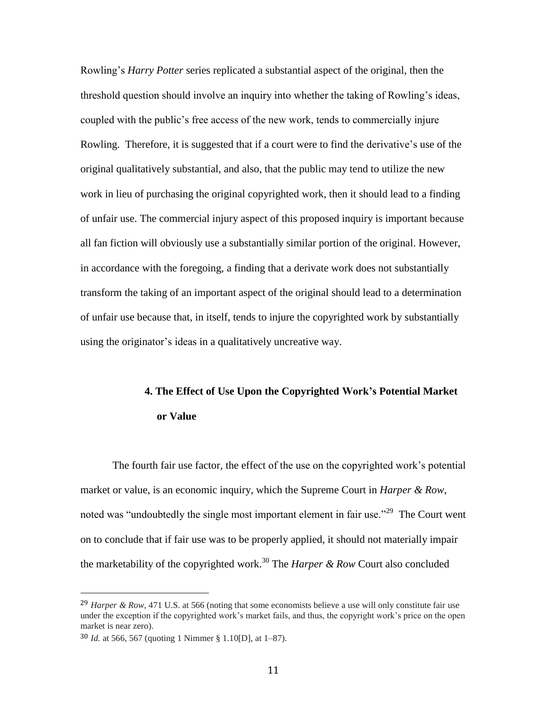Rowling's *Harry Potter* series replicated a substantial aspect of the original, then the threshold question should involve an inquiry into whether the taking of Rowling's ideas, coupled with the public's free access of the new work, tends to commercially injure Rowling. Therefore, it is suggested that if a court were to find the derivative's use of the original qualitatively substantial, and also, that the public may tend to utilize the new work in lieu of purchasing the original copyrighted work, then it should lead to a finding of unfair use. The commercial injury aspect of this proposed inquiry is important because all fan fiction will obviously use a substantially similar portion of the original. However, in accordance with the foregoing, a finding that a derivate work does not substantially transform the taking of an important aspect of the original should lead to a determination of unfair use because that, in itself, tends to injure the copyrighted work by substantially using the originator's ideas in a qualitatively uncreative way.

# **4. The Effect of Use Upon the Copyrighted Work's Potential Market or Value**

The fourth fair use factor, the effect of the use on the copyrighted work's potential market or value, is an economic inquiry, which the Supreme Court in *Harper & Row*, noted was "undoubtedly the single most important element in fair use."<sup>29</sup> The Court went on to conclude that if fair use was to be properly applied, it should not materially impair the marketability of the copyrighted work.<sup>30</sup> The *Harper & Row* Court also concluded

<sup>29</sup> *Harper & Row*, 471 U.S. at 566 (noting that some economists believe a use will only constitute fair use under the exception if the copyrighted work's market fails, and thus, the copyright work's price on the open market is near zero).

<sup>30</sup> *Id.* at 566, 567 (quoting 1 Nimmer § 1.10[D], at 1–87).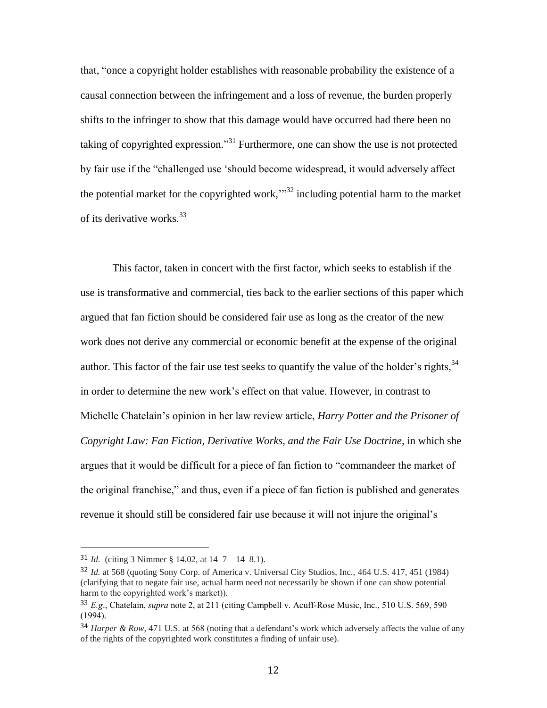that, "once a copyright holder establishes with reasonable probability the existence of a causal connection between the infringement and a loss of revenue, the burden properly shifts to the infringer to show that this damage would have occurred had there been no taking of copyrighted expression."<sup>31</sup> Furthermore, one can show the use is not protected by fair use if the "challenged use 'should become widespread, it would adversely affect the potential market for the copyrighted work, $\cdot$ <sup>32</sup> including potential harm to the market of its derivative works.<sup>33</sup>

This factor, taken in concert with the first factor, which seeks to establish if the use is transformative and commercial, ties back to the earlier sections of this paper which argued that fan fiction should be considered fair use as long as the creator of the new work does not derive any commercial or economic benefit at the expense of the original author. This factor of the fair use test seeks to quantify the value of the holder's rights,  $34$ in order to determine the new work's effect on that value. However, in contrast to Michelle Chatelain's opinion in her law review article, *Harry Potter and the Prisoner of Copyright Law: Fan Fiction, Derivative Works, and the Fair Use Doctrine*, in which she argues that it would be difficult for a piece of fan fiction to "commandeer the market of the original franchise," and thus, even if a piece of fan fiction is published and generates revenue it should still be considered fair use because it will not injure the original's

<sup>31</sup> *Id.* (citing 3 Nimmer § 14.02, at 14–7—14–8.1).

<sup>32</sup> *Id.* at 568 (quoting Sony Corp. of America v. Universal City Studios, Inc., 464 U.S. 417, 451 (1984) (clarifying that to negate fair use, actual harm need not necessarily be shown if one can show potential harm to the copyrighted work's market)).

<sup>33</sup> *E.g*., Chatelain, *supra* note 2, at 211 (citing Campbell v. Acuff-Rose Music, Inc., 510 U.S. 569, 590 (1994).

<sup>34</sup> *Harper & Row*, 471 U.S. at 568 (noting that a defendant's work which adversely affects the value of any of the rights of the copyrighted work constitutes a finding of unfair use).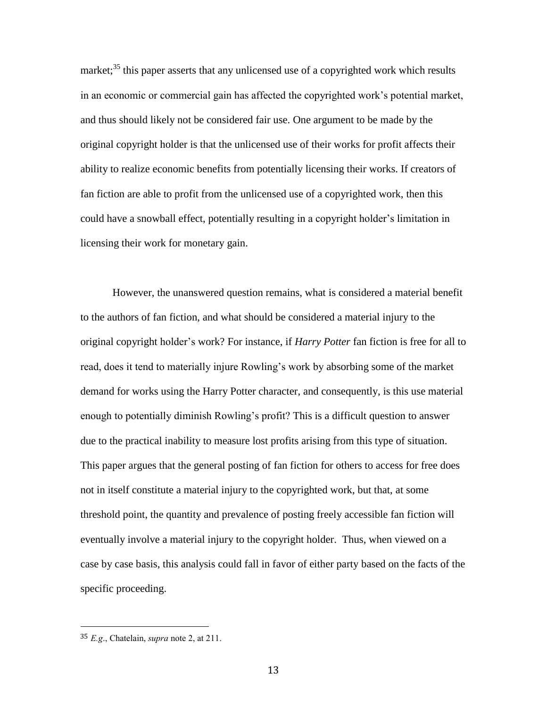market;<sup>35</sup> this paper asserts that any unlicensed use of a copyrighted work which results in an economic or commercial gain has affected the copyrighted work's potential market, and thus should likely not be considered fair use. One argument to be made by the original copyright holder is that the unlicensed use of their works for profit affects their ability to realize economic benefits from potentially licensing their works. If creators of fan fiction are able to profit from the unlicensed use of a copyrighted work, then this could have a snowball effect, potentially resulting in a copyright holder's limitation in licensing their work for monetary gain.

However, the unanswered question remains, what is considered a material benefit to the authors of fan fiction, and what should be considered a material injury to the original copyright holder's work? For instance, if *Harry Potter* fan fiction is free for all to read, does it tend to materially injure Rowling's work by absorbing some of the market demand for works using the Harry Potter character, and consequently, is this use material enough to potentially diminish Rowling's profit? This is a difficult question to answer due to the practical inability to measure lost profits arising from this type of situation. This paper argues that the general posting of fan fiction for others to access for free does not in itself constitute a material injury to the copyrighted work, but that, at some threshold point, the quantity and prevalence of posting freely accessible fan fiction will eventually involve a material injury to the copyright holder. Thus, when viewed on a case by case basis, this analysis could fall in favor of either party based on the facts of the specific proceeding.

<sup>35</sup> *E.g*., Chatelain, *supra* note 2, at 211.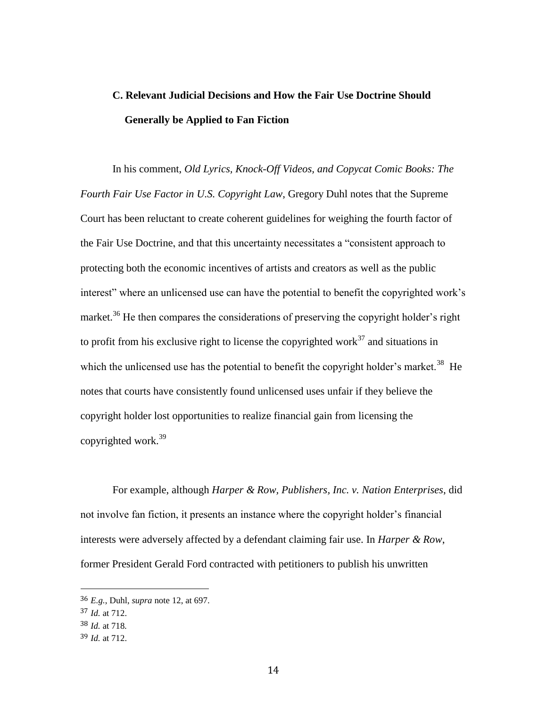## **C. Relevant Judicial Decisions and How the Fair Use Doctrine Should Generally be Applied to Fan Fiction**

In his comment, *Old Lyrics, Knock-Off Videos, and Copycat Comic Books: The Fourth Fair Use Factor in U.S. Copyright Law*, Gregory Duhl notes that the Supreme Court has been reluctant to create coherent guidelines for weighing the fourth factor of the Fair Use Doctrine, and that this uncertainty necessitates a "consistent approach to protecting both the economic incentives of artists and creators as well as the public interest" where an unlicensed use can have the potential to benefit the copyrighted work's market.<sup>36</sup> He then compares the considerations of preserving the copyright holder's right to profit from his exclusive right to license the copyrighted work<sup>37</sup> and situations in which the unlicensed use has the potential to benefit the copyright holder's market.<sup>38</sup> He notes that courts have consistently found unlicensed uses unfair if they believe the copyright holder lost opportunities to realize financial gain from licensing the copyrighted work.<sup>39</sup>

For example, although *Harper & Row, Publishers, Inc. v. Nation Enterprises*, did not involve fan fiction, it presents an instance where the copyright holder's financial interests were adversely affected by a defendant claiming fair use. In *Harper & Row*, former President Gerald Ford contracted with petitioners to publish his unwritten

<sup>36</sup> *E.g.*, Duhl, *supra* note 12, at 697.

<sup>37</sup> *Id.* at 712.

<sup>38</sup> *Id.* at 718*.*

<sup>39</sup> *Id.* at 712.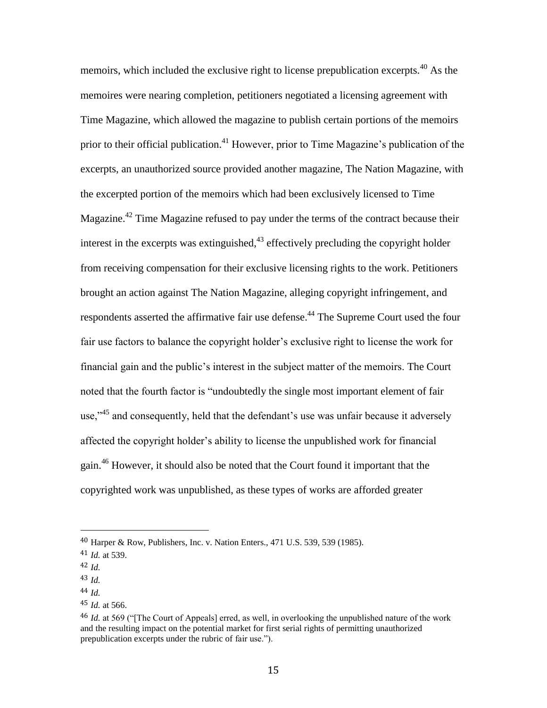memoirs, which included the exclusive right to license prepublication excerpts.<sup>40</sup> As the memoires were nearing completion, petitioners negotiated a licensing agreement with Time Magazine, which allowed the magazine to publish certain portions of the memoirs prior to their official publication.<sup>41</sup> However, prior to Time Magazine's publication of the excerpts, an unauthorized source provided another magazine, The Nation Magazine, with the excerpted portion of the memoirs which had been exclusively licensed to Time Magazine.<sup>42</sup> Time Magazine refused to pay under the terms of the contract because their interest in the excerpts was extinguished, $43$  effectively precluding the copyright holder from receiving compensation for their exclusive licensing rights to the work. Petitioners brought an action against The Nation Magazine, alleging copyright infringement, and respondents asserted the affirmative fair use defense.<sup>44</sup> The Supreme Court used the four fair use factors to balance the copyright holder's exclusive right to license the work for financial gain and the public's interest in the subject matter of the memoirs. The Court noted that the fourth factor is "undoubtedly the single most important element of fair use," $45$  and consequently, held that the defendant's use was unfair because it adversely affected the copyright holder's ability to license the unpublished work for financial gain.<sup>46</sup> However, it should also be noted that the Court found it important that the copyrighted work was unpublished, as these types of works are afforded greater

<sup>40</sup> Harper & Row, Publishers, Inc. v. Nation Enters., 471 U.S. 539, 539 (1985).

<sup>41</sup> *Id.* at 539.

<sup>42</sup> *Id.*

<sup>43</sup> *Id.*

<sup>44</sup> *Id.*

<sup>45</sup> *Id.* at 566.

<sup>46</sup> *Id.* at 569 ("[The Court of Appeals] erred, as well, in overlooking the unpublished nature of the work and the resulting impact on the potential market for first serial rights of permitting unauthorized prepublication excerpts under the rubric of fair use.").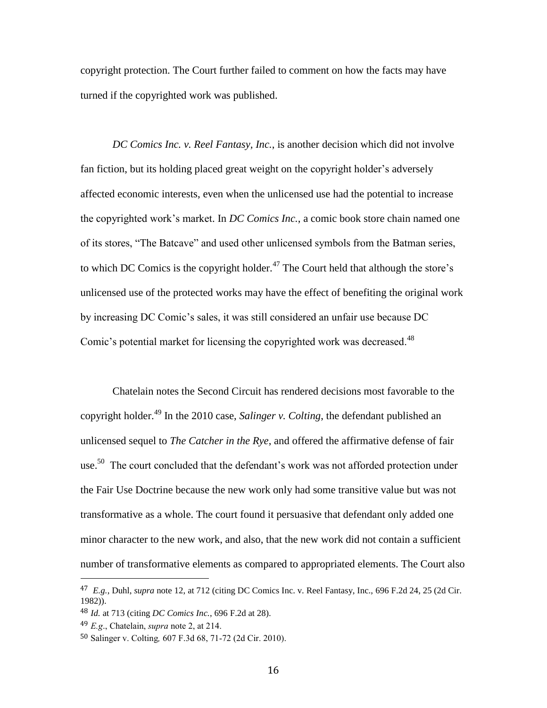copyright protection. The Court further failed to comment on how the facts may have turned if the copyrighted work was published.

*DC Comics Inc. v. Reel Fantasy, Inc.*, is another decision which did not involve fan fiction, but its holding placed great weight on the copyright holder's adversely affected economic interests, even when the unlicensed use had the potential to increase the copyrighted work's market. In *DC Comics Inc.*, a comic book store chain named one of its stores, "The Batcave" and used other unlicensed symbols from the Batman series, to which DC Comics is the copyright holder.<sup>47</sup> The Court held that although the store's unlicensed use of the protected works may have the effect of benefiting the original work by increasing DC Comic's sales, it was still considered an unfair use because DC Comic's potential market for licensing the copyrighted work was decreased.<sup>48</sup>

Chatelain notes the Second Circuit has rendered decisions most favorable to the copyright holder.<sup>49</sup> In the 2010 case, *Salinger v. Colting*, the defendant published an unlicensed sequel to *The Catcher in the Rye*, and offered the affirmative defense of fair use.<sup>50</sup> The court concluded that the defendant's work was not afforded protection under the Fair Use Doctrine because the new work only had some transitive value but was not transformative as a whole. The court found it persuasive that defendant only added one minor character to the new work, and also, that the new work did not contain a sufficient number of transformative elements as compared to appropriated elements. The Court also

<sup>47</sup> *E.g.*, Duhl, *supra* note 12, at 712 (citing DC Comics Inc. v. Reel Fantasy, Inc., 696 F.2d 24, 25 (2d Cir. 1982)).

<sup>48</sup> *Id.* at 713 (citing *DC Comics Inc.*, 696 F.2d at 28).

<sup>49</sup> *E.g*., Chatelain, *supra* note 2, at 214.

<sup>50</sup> Salinger v. Colting*,* 607 F.3d 68, 71-72 (2d Cir. 2010).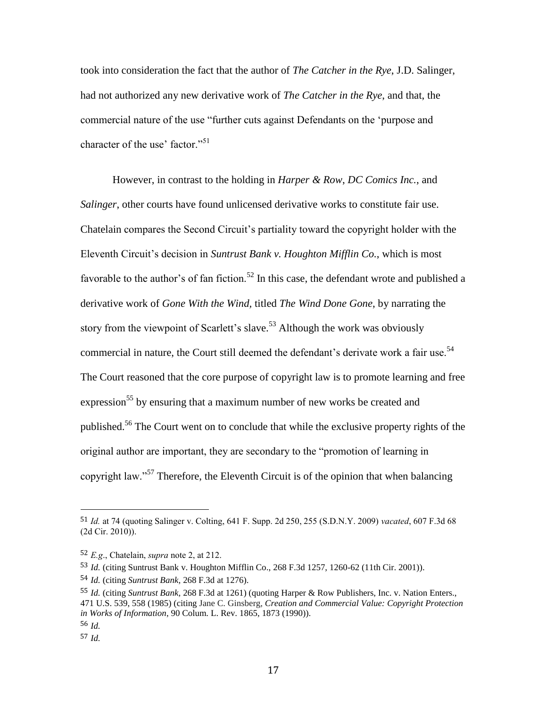took into consideration the fact that the author of *The Catcher in the Rye*, J.D. Salinger, had not authorized any new derivative work of *The Catcher in the Rye*, and that, the commercial nature of the use "further cuts against Defendants on the 'purpose and character of the use' factor."<sup>51</sup>

However, in contrast to the holding in *Harper & Row*, *DC Comics Inc.*, and *Salinger*, other courts have found unlicensed derivative works to constitute fair use. Chatelain compares the Second Circuit's partiality toward the copyright holder with the Eleventh Circuit's decision in *Suntrust Bank v. Houghton Mifflin Co.*, which is most favorable to the author's of fan fiction.<sup>52</sup> In this case, the defendant wrote and published a derivative work of *Gone With the Wind,* titled *The Wind Done Gone*, by narrating the story from the viewpoint of Scarlett's slave.<sup>53</sup> Although the work was obviously commercial in nature, the Court still deemed the defendant's derivate work a fair use.<sup>54</sup> The Court reasoned that the core purpose of copyright law is to promote learning and free expression<sup>55</sup> by ensuring that a maximum number of new works be created and published.<sup>56</sup> The Court went on to conclude that while the exclusive property rights of the original author are important, they are secondary to the "promotion of learning in copyright law."<sup>57</sup> Therefore, the Eleventh Circuit is of the opinion that when balancing

<sup>51</sup> *Id.* at 74 (quoting Salinger v. Colting, 641 F. Supp. 2d 250, 255 (S.D.N.Y. 2009) *vacated*, 607 F.3d 68 (2d Cir. 2010)).

<sup>52</sup> *E.g*., Chatelain, *supra* note 2, at 212.

<sup>53</sup> *Id.* (citing Suntrust Bank v. Houghton Mifflin Co., 268 F.3d 1257, 1260-62 (11th Cir. 2001)).

<sup>54</sup> *Id.* (citing *Suntrust Bank,* 268 F.3d at 1276).

<sup>55</sup> *Id.* (citing *Suntrust Bank,* 268 F.3d at 1261) (quoting Harper & Row Publishers, Inc. v. Nation Enters., 471 U.S. 539, 558 (1985) (citing Jane C. Ginsberg, *Creation and Commercial Value: Copyright Protection in Works of Information*, 90 Colum. L. Rev. 1865, 1873 (1990)).

<sup>56</sup> *Id.*

<sup>57</sup> *Id.*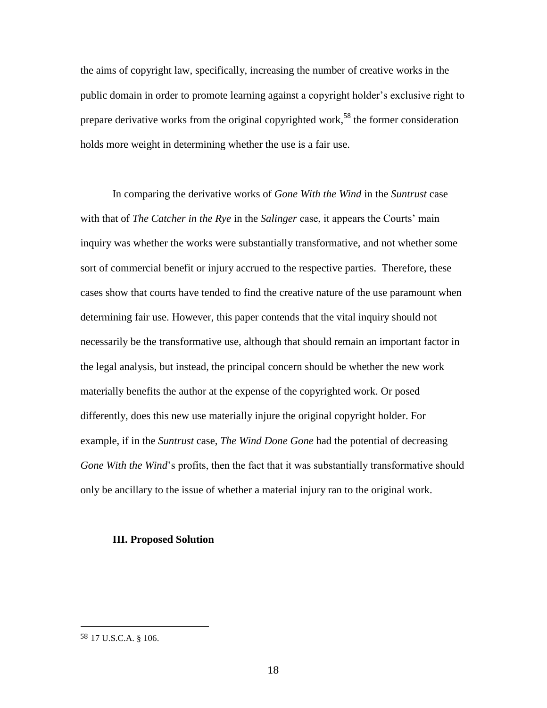the aims of copyright law, specifically, increasing the number of creative works in the public domain in order to promote learning against a copyright holder's exclusive right to prepare derivative works from the original copyrighted work,<sup>58</sup> the former consideration holds more weight in determining whether the use is a fair use.

In comparing the derivative works of *Gone With the Wind* in the *Suntrust* case with that of *The Catcher in the Rye* in the *Salinger* case, it appears the Courts' main inquiry was whether the works were substantially transformative, and not whether some sort of commercial benefit or injury accrued to the respective parties. Therefore, these cases show that courts have tended to find the creative nature of the use paramount when determining fair use. However, this paper contends that the vital inquiry should not necessarily be the transformative use, although that should remain an important factor in the legal analysis, but instead, the principal concern should be whether the new work materially benefits the author at the expense of the copyrighted work. Or posed differently, does this new use materially injure the original copyright holder. For example, if in the *Suntrust* case, *The Wind Done Gone* had the potential of decreasing *Gone With the Wind*'s profits, then the fact that it was substantially transformative should only be ancillary to the issue of whether a material injury ran to the original work.

#### **III. Proposed Solution**

<sup>58</sup> 17 U.S.C.A. § 106.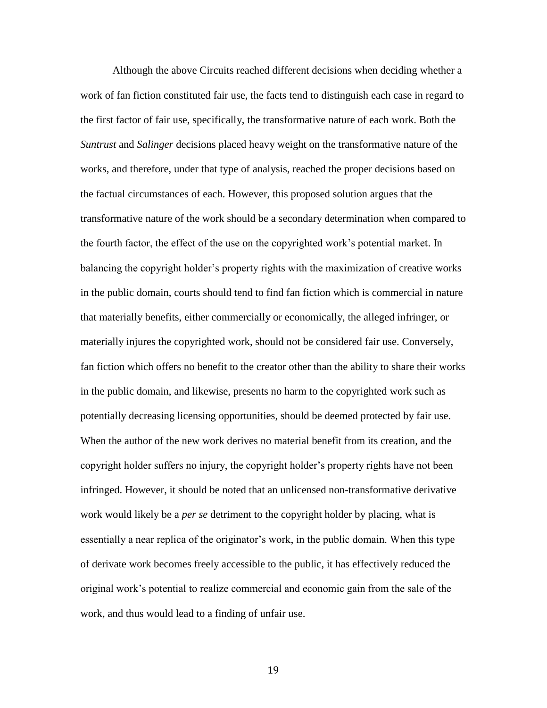Although the above Circuits reached different decisions when deciding whether a work of fan fiction constituted fair use, the facts tend to distinguish each case in regard to the first factor of fair use, specifically, the transformative nature of each work. Both the *Suntrust* and *Salinger* decisions placed heavy weight on the transformative nature of the works, and therefore, under that type of analysis, reached the proper decisions based on the factual circumstances of each. However, this proposed solution argues that the transformative nature of the work should be a secondary determination when compared to the fourth factor, the effect of the use on the copyrighted work's potential market. In balancing the copyright holder's property rights with the maximization of creative works in the public domain, courts should tend to find fan fiction which is commercial in nature that materially benefits, either commercially or economically, the alleged infringer, or materially injures the copyrighted work, should not be considered fair use. Conversely, fan fiction which offers no benefit to the creator other than the ability to share their works in the public domain, and likewise, presents no harm to the copyrighted work such as potentially decreasing licensing opportunities, should be deemed protected by fair use. When the author of the new work derives no material benefit from its creation, and the copyright holder suffers no injury, the copyright holder's property rights have not been infringed. However, it should be noted that an unlicensed non-transformative derivative work would likely be a *per se* detriment to the copyright holder by placing, what is essentially a near replica of the originator's work, in the public domain. When this type of derivate work becomes freely accessible to the public, it has effectively reduced the original work's potential to realize commercial and economic gain from the sale of the work, and thus would lead to a finding of unfair use.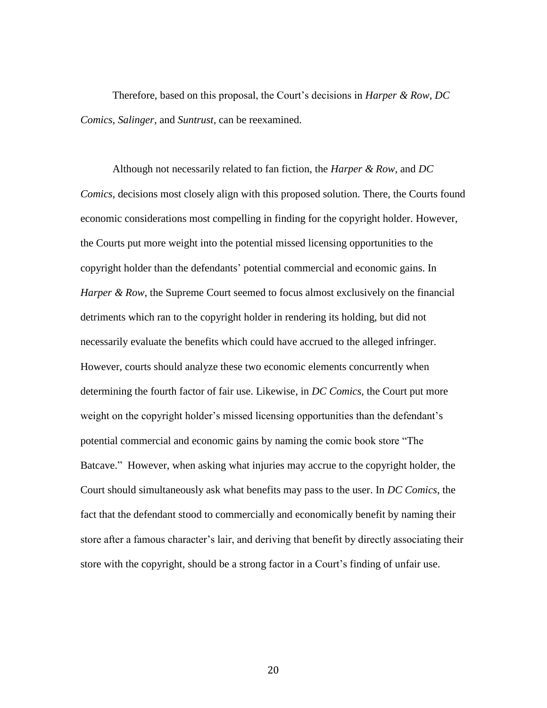Therefore, based on this proposal, the Court's decisions in *Harper & Row*, *DC Comics*, *Salinger*, and *Suntrust,* can be reexamined.

Although not necessarily related to fan fiction, the *Harper & Row,* and *DC Comics,* decisions most closely align with this proposed solution. There, the Courts found economic considerations most compelling in finding for the copyright holder. However, the Courts put more weight into the potential missed licensing opportunities to the copyright holder than the defendants' potential commercial and economic gains. In *Harper & Row*, the Supreme Court seemed to focus almost exclusively on the financial detriments which ran to the copyright holder in rendering its holding, but did not necessarily evaluate the benefits which could have accrued to the alleged infringer. However, courts should analyze these two economic elements concurrently when determining the fourth factor of fair use. Likewise, in *DC Comics*, the Court put more weight on the copyright holder's missed licensing opportunities than the defendant's potential commercial and economic gains by naming the comic book store "The Batcave." However, when asking what injuries may accrue to the copyright holder, the Court should simultaneously ask what benefits may pass to the user. In *DC Comics*, the fact that the defendant stood to commercially and economically benefit by naming their store after a famous character's lair, and deriving that benefit by directly associating their store with the copyright, should be a strong factor in a Court's finding of unfair use.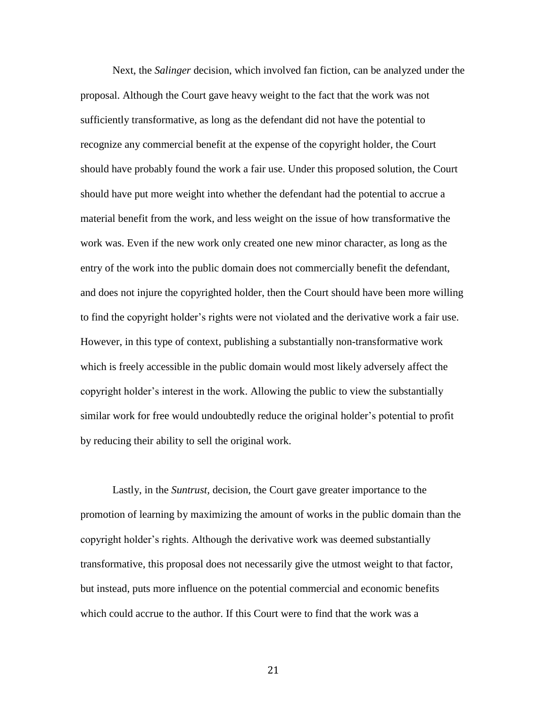Next, the *Salinger* decision, which involved fan fiction, can be analyzed under the proposal. Although the Court gave heavy weight to the fact that the work was not sufficiently transformative, as long as the defendant did not have the potential to recognize any commercial benefit at the expense of the copyright holder, the Court should have probably found the work a fair use. Under this proposed solution, the Court should have put more weight into whether the defendant had the potential to accrue a material benefit from the work, and less weight on the issue of how transformative the work was. Even if the new work only created one new minor character, as long as the entry of the work into the public domain does not commercially benefit the defendant, and does not injure the copyrighted holder, then the Court should have been more willing to find the copyright holder's rights were not violated and the derivative work a fair use. However, in this type of context, publishing a substantially non-transformative work which is freely accessible in the public domain would most likely adversely affect the copyright holder's interest in the work. Allowing the public to view the substantially similar work for free would undoubtedly reduce the original holder's potential to profit by reducing their ability to sell the original work.

Lastly, in the *Suntrust,* decision, the Court gave greater importance to the promotion of learning by maximizing the amount of works in the public domain than the copyright holder's rights. Although the derivative work was deemed substantially transformative, this proposal does not necessarily give the utmost weight to that factor, but instead, puts more influence on the potential commercial and economic benefits which could accrue to the author. If this Court were to find that the work was a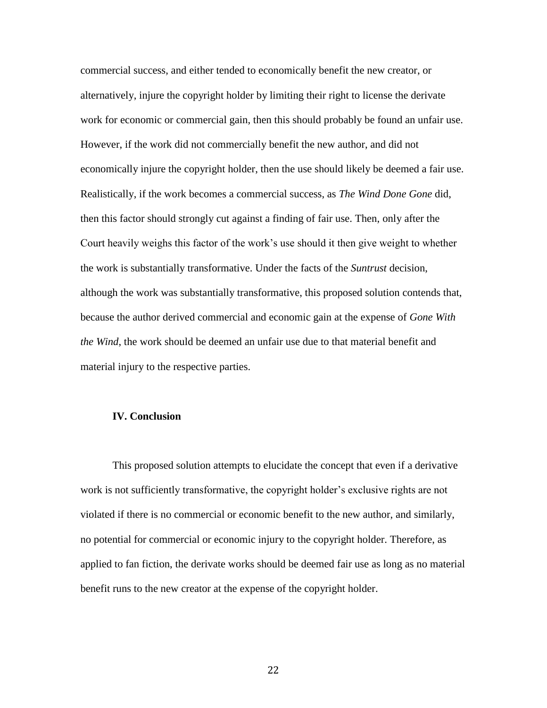commercial success, and either tended to economically benefit the new creator, or alternatively, injure the copyright holder by limiting their right to license the derivate work for economic or commercial gain, then this should probably be found an unfair use. However, if the work did not commercially benefit the new author, and did not economically injure the copyright holder, then the use should likely be deemed a fair use. Realistically, if the work becomes a commercial success, as *The Wind Done Gone* did, then this factor should strongly cut against a finding of fair use. Then, only after the Court heavily weighs this factor of the work's use should it then give weight to whether the work is substantially transformative. Under the facts of the *Suntrust* decision, although the work was substantially transformative, this proposed solution contends that, because the author derived commercial and economic gain at the expense of *Gone With the Wind*, the work should be deemed an unfair use due to that material benefit and material injury to the respective parties.

#### **IV. Conclusion**

This proposed solution attempts to elucidate the concept that even if a derivative work is not sufficiently transformative, the copyright holder's exclusive rights are not violated if there is no commercial or economic benefit to the new author, and similarly, no potential for commercial or economic injury to the copyright holder. Therefore, as applied to fan fiction, the derivate works should be deemed fair use as long as no material benefit runs to the new creator at the expense of the copyright holder.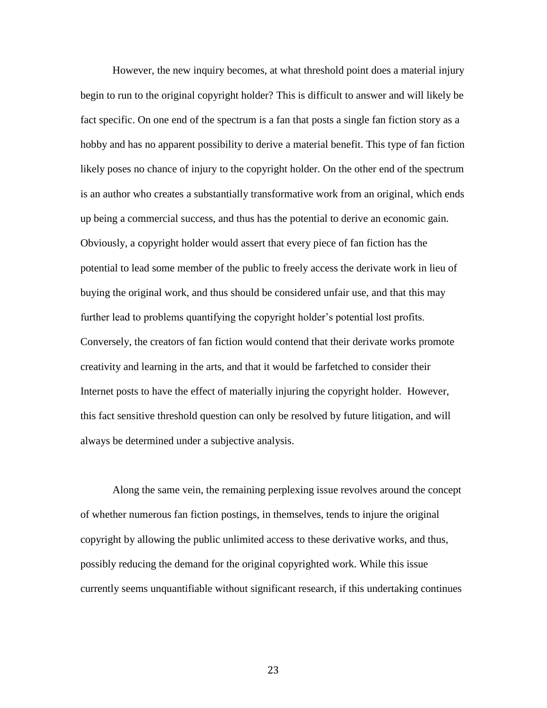However, the new inquiry becomes, at what threshold point does a material injury begin to run to the original copyright holder? This is difficult to answer and will likely be fact specific. On one end of the spectrum is a fan that posts a single fan fiction story as a hobby and has no apparent possibility to derive a material benefit. This type of fan fiction likely poses no chance of injury to the copyright holder. On the other end of the spectrum is an author who creates a substantially transformative work from an original, which ends up being a commercial success, and thus has the potential to derive an economic gain. Obviously, a copyright holder would assert that every piece of fan fiction has the potential to lead some member of the public to freely access the derivate work in lieu of buying the original work, and thus should be considered unfair use, and that this may further lead to problems quantifying the copyright holder's potential lost profits. Conversely, the creators of fan fiction would contend that their derivate works promote creativity and learning in the arts, and that it would be farfetched to consider their Internet posts to have the effect of materially injuring the copyright holder. However, this fact sensitive threshold question can only be resolved by future litigation, and will always be determined under a subjective analysis.

Along the same vein, the remaining perplexing issue revolves around the concept of whether numerous fan fiction postings, in themselves, tends to injure the original copyright by allowing the public unlimited access to these derivative works, and thus, possibly reducing the demand for the original copyrighted work. While this issue currently seems unquantifiable without significant research, if this undertaking continues